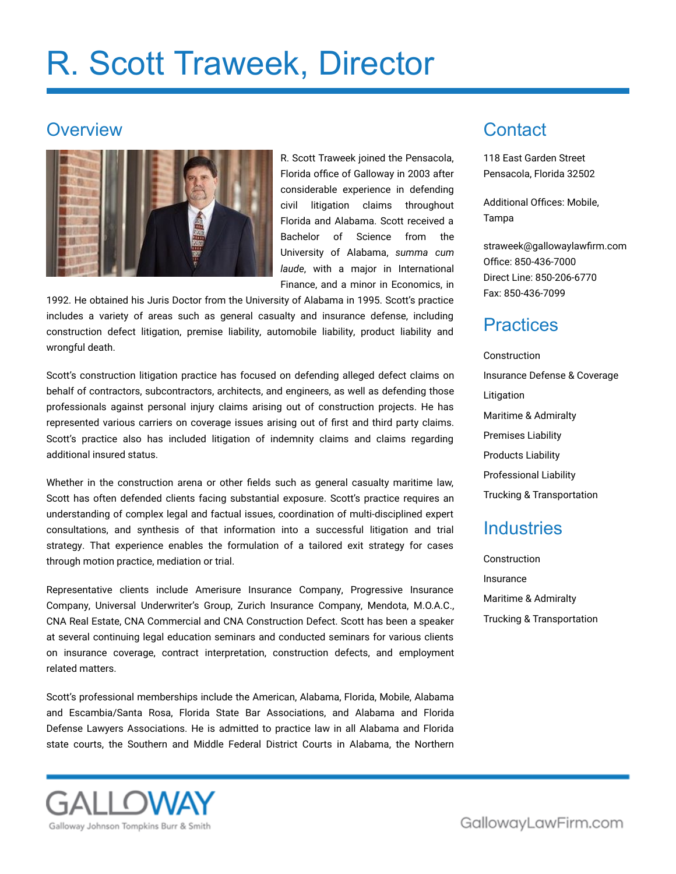# R. Scott Traweek, Director

#### **Overview**



R. Scott Traweek joined the Pensacola, Florida office of Galloway in 2003 after considerable experience in defending civil litigation claims throughout Florida and Alabama. Scott received a Bachelor of Science from the University of Alabama, *summa cum laude*, with a major in International Finance, and a minor in Economics, in

1992. He obtained his Juris Doctor from the University of Alabama in 1995. Scott's practice includes a variety of areas such as general casualty and insurance defense, including construction defect litigation, premise liability, automobile liability, product liability and wrongful death.

Scott's construction litigation practice has focused on defending alleged defect claims on behalf of contractors, subcontractors, architects, and engineers, as well as defending those professionals against personal injury claims arising out of construction projects. He has represented various carriers on coverage issues arising out of first and third party claims. Scott's practice also has included litigation of indemnity claims and claims regarding additional insured status.

Whether in the construction arena or other fields such as general casualty maritime law, Scott has often defended clients facing substantial exposure. Scott's practice requires an understanding of complex legal and factual issues, coordination of multi-disciplined expert consultations, and synthesis of that information into a successful litigation and trial strategy. That experience enables the formulation of a tailored exit strategy for cases through motion practice, mediation or trial.

Representative clients include Amerisure Insurance Company, Progressive Insurance Company, Universal Underwriter's Group, Zurich Insurance Company, Mendota, M.O.A.C., CNA Real Estate, CNA Commercial and CNA Construction Defect. Scott has been a speaker at several continuing legal education seminars and conducted seminars for various clients on insurance coverage, contract interpretation, construction defects, and employment related matters.

Scott's professional memberships include the American, Alabama, Florida, Mobile, Alabama and Escambia/Santa Rosa, Florida State Bar Associations, and Alabama and Florida Defense Lawyers Associations. He is admitted to practice law in all Alabama and Florida state courts, the Southern and Middle Federal District Courts in Alabama, the Northern



## **Contact**

118 East Garden Street Pensacola, Florida 32502

Additional Offices: Mobile, Tampa

[straweek@gallowaylawfirm.com](mailto:straweek@gallowaylawfirm.com) Office: 850-436-7000 Direct Line: 850-206-6770 Fax: 850-436-7099

#### **Practices**

Construction Insurance Defense & Coverage Litigation Maritime & Admiralty Premises Liability Products Liability Professional Liability Trucking & Transportation

#### **Industries**

Construction Insurance Maritime & Admiralty Trucking & Transportation